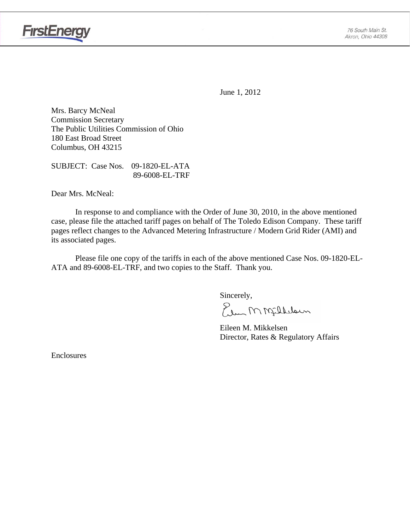

June 1, 2012

Mrs. Barcy McNeal Commission Secretary The Public Utilities Commission of Ohio 180 East Broad Street Columbus, OH 43215

SUBJECT: Case Nos. 09-1820-EL-ATA 89-6008-EL-TRF

Dear Mrs. McNeal:

 In response to and compliance with the Order of June 30, 2010, in the above mentioned case, please file the attached tariff pages on behalf of The Toledo Edison Company. These tariff pages reflect changes to the Advanced Metering Infrastructure / Modern Grid Rider (AMI) and its associated pages.

Please file one copy of the tariffs in each of the above mentioned Case Nos. 09-1820-EL-ATA and 89-6008-EL-TRF, and two copies to the Staff. Thank you.

Sincerely,

Elem M Milleloun

 Eileen M. Mikkelsen Director, Rates & Regulatory Affairs

Enclosures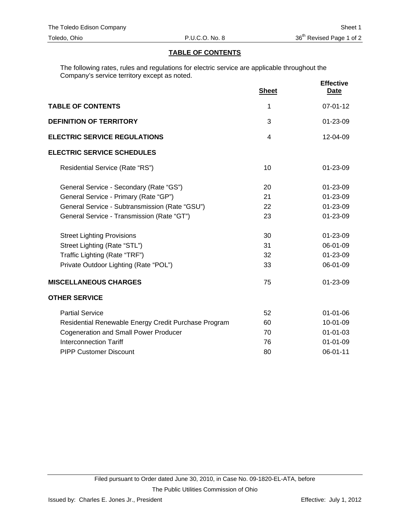### **TABLE OF CONTENTS**

The following rates, rules and regulations for electric service are applicable throughout the Company's service territory except as noted.

|                                                      | <b>Sheet</b>   | <b>Effective</b><br><b>Date</b> |
|------------------------------------------------------|----------------|---------------------------------|
| <b>TABLE OF CONTENTS</b>                             | 1              | $07 - 01 - 12$                  |
| <b>DEFINITION OF TERRITORY</b>                       | 3              | 01-23-09                        |
| <b>ELECTRIC SERVICE REGULATIONS</b>                  | $\overline{4}$ | $12 - 04 - 09$                  |
| <b>ELECTRIC SERVICE SCHEDULES</b>                    |                |                                 |
| Residential Service (Rate "RS")                      | 10             | 01-23-09                        |
| General Service - Secondary (Rate "GS")              | 20             | 01-23-09                        |
| General Service - Primary (Rate "GP")                | 21             | 01-23-09                        |
| General Service - Subtransmission (Rate "GSU")       | 22             | 01-23-09                        |
| General Service - Transmission (Rate "GT")           | 23             | 01-23-09                        |
| <b>Street Lighting Provisions</b>                    | 30             | 01-23-09                        |
| Street Lighting (Rate "STL")                         | 31             | 06-01-09                        |
| Traffic Lighting (Rate "TRF")                        | 32             | 01-23-09                        |
| Private Outdoor Lighting (Rate "POL")                | 33             | 06-01-09                        |
| <b>MISCELLANEOUS CHARGES</b>                         | 75             | 01-23-09                        |
| <b>OTHER SERVICE</b>                                 |                |                                 |
| <b>Partial Service</b>                               | 52             | $01 - 01 - 06$                  |
| Residential Renewable Energy Credit Purchase Program | 60             | 10-01-09                        |
| <b>Cogeneration and Small Power Producer</b>         | 70             | $01 - 01 - 03$                  |
| <b>Interconnection Tariff</b>                        | 76             | $01 - 01 - 09$                  |
| <b>PIPP Customer Discount</b>                        | 80             | 06-01-11                        |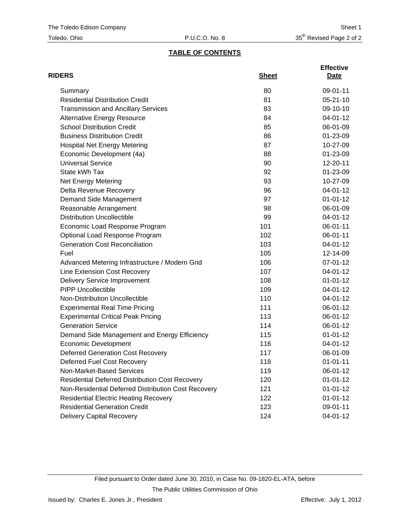## **TABLE OF CONTENTS**

| <b>RIDERS</b>                                          | <b>Sheet</b> | <b>Effective</b><br>Date |
|--------------------------------------------------------|--------------|--------------------------|
| Summary                                                | 80           | 09-01-11                 |
| <b>Residential Distribution Credit</b>                 | 81           | $05 - 21 - 10$           |
| <b>Transmission and Ancillary Services</b>             | 83           | 09-10-10                 |
| <b>Alternative Energy Resource</b>                     | 84           | 04-01-12                 |
| <b>School Distribution Credit</b>                      | 85           | 06-01-09                 |
| <b>Business Distribution Credit</b>                    | 86           | 01-23-09                 |
| <b>Hospital Net Energy Metering</b>                    | 87           | 10-27-09                 |
| Economic Development (4a)                              | 88           | 01-23-09                 |
| <b>Universal Service</b>                               | 90           | 12-20-11                 |
| State kWh Tax                                          | 92           | 01-23-09                 |
| <b>Net Energy Metering</b>                             | 93           | 10-27-09                 |
| Delta Revenue Recovery                                 | 96           | 04-01-12                 |
| Demand Side Management                                 | 97           | $01 - 01 - 12$           |
| Reasonable Arrangement                                 | 98           | 06-01-09                 |
| <b>Distribution Uncollectible</b>                      | 99           | 04-01-12                 |
| Economic Load Response Program                         | 101          | 06-01-11                 |
| Optional Load Response Program                         | 102          | 06-01-11                 |
| <b>Generation Cost Reconciliation</b>                  | 103          | 04-01-12                 |
| Fuel                                                   | 105          | 12-14-09                 |
| Advanced Metering Infrastructure / Modern Grid         | 106          | 07-01-12                 |
| Line Extension Cost Recovery                           | 107          | 04-01-12                 |
| <b>Delivery Service Improvement</b>                    | 108          | $01 - 01 - 12$           |
| <b>PIPP Uncollectible</b>                              | 109          | 04-01-12                 |
| Non-Distribution Uncollectible                         | 110          | 04-01-12                 |
| <b>Experimental Real Time Pricing</b>                  | 111          | 06-01-12                 |
| <b>Experimental Critical Peak Pricing</b>              | 113          | 06-01-12                 |
| <b>Generation Service</b>                              | 114          | 06-01-12                 |
| Demand Side Management and Energy Efficiency           | 115          | $01 - 01 - 12$           |
| <b>Economic Development</b>                            | 116          | 04-01-12                 |
| <b>Deferred Generation Cost Recovery</b>               | 117          | 06-01-09                 |
| Deferred Fuel Cost Recovery                            | 118          | $01 - 01 - 11$           |
| Non-Market-Based Services                              | 119          | 06-01-12                 |
| <b>Residential Deferred Distribution Cost Recovery</b> | 120          | $01 - 01 - 12$           |
| Non-Residential Deferred Distribution Cost Recovery    | 121          | $01 - 01 - 12$           |
| <b>Residential Electric Heating Recovery</b>           | 122          | $01 - 01 - 12$           |
| <b>Residential Generation Credit</b>                   | 123          | 09-01-11                 |
| <b>Delivery Capital Recovery</b>                       | 124          | 04-01-12                 |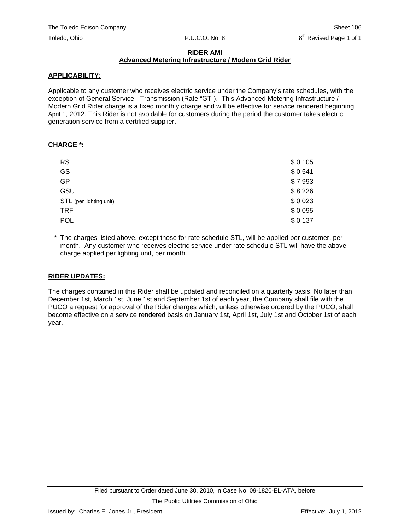#### **RIDER AMI Advanced Metering Infrastructure / Modern Grid Rider**

### **APPLICABILITY:**

Applicable to any customer who receives electric service under the Company's rate schedules, with the exception of General Service - Transmission (Rate "GT"). This Advanced Metering Infrastructure / Modern Grid Rider charge is a fixed monthly charge and will be effective for service rendered beginning April 1, 2012. This Rider is not avoidable for customers during the period the customer takes electric generation service from a certified supplier.

#### **CHARGE \*:**

| <b>RS</b>               | \$0.105 |
|-------------------------|---------|
| GS                      | \$0.541 |
| <b>GP</b>               | \$7.993 |
| GSU                     | \$8.226 |
| STL (per lighting unit) | \$0.023 |
| <b>TRF</b>              | \$0.095 |
| <b>POL</b>              | \$0.137 |

\* The charges listed above, except those for rate schedule STL, will be applied per customer, per month. Any customer who receives electric service under rate schedule STL will have the above charge applied per lighting unit, per month.

### **RIDER UPDATES:**

The charges contained in this Rider shall be updated and reconciled on a quarterly basis. No later than December 1st, March 1st, June 1st and September 1st of each year, the Company shall file with the PUCO a request for approval of the Rider charges which, unless otherwise ordered by the PUCO, shall become effective on a service rendered basis on January 1st, April 1st, July 1st and October 1st of each year.